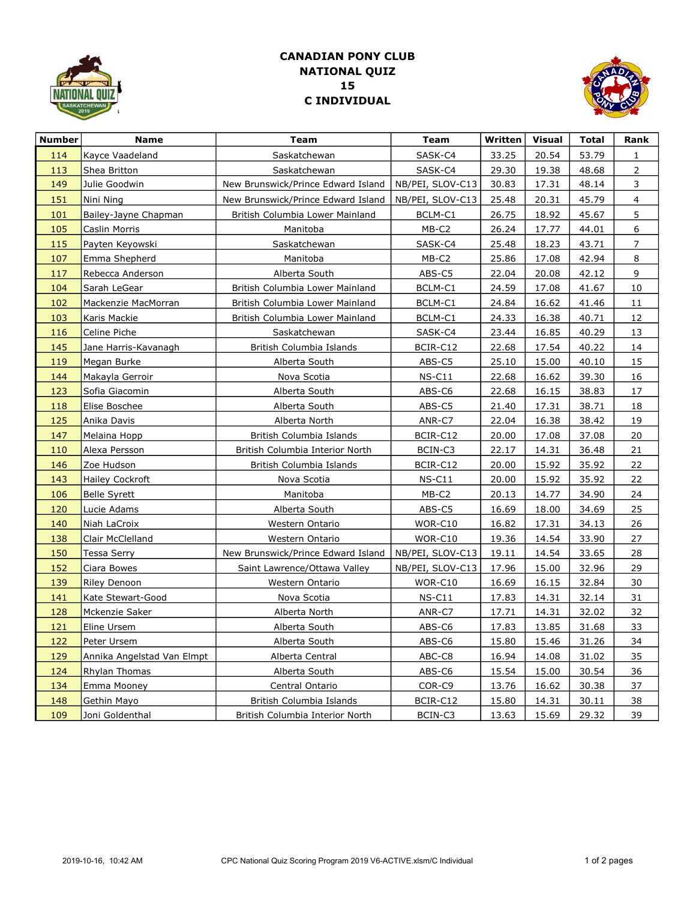

## C INDIVIDUAL 15 NATIONAL QUIZ CANADIAN PONY CLUB



| <b>Number</b> | Name                       | <b>Team</b>                        | <b>Team</b>      | Written | <b>Visual</b> | <b>Total</b> | Rank         |
|---------------|----------------------------|------------------------------------|------------------|---------|---------------|--------------|--------------|
| 114           | Kayce Vaadeland            | Saskatchewan                       | SASK-C4          | 33.25   | 20.54         | 53.79        | $\mathbf{1}$ |
| 113           | Shea Britton               | Saskatchewan                       | SASK-C4          | 29.30   | 19.38         | 48.68        | 2            |
| 149           | Julie Goodwin              | New Brunswick/Prince Edward Island | NB/PEI, SLOV-C13 | 30.83   | 17.31         | 48.14        | 3            |
| 151           | Nini Ning                  | New Brunswick/Prince Edward Island | NB/PEI, SLOV-C13 | 25.48   | 20.31         | 45.79        | 4            |
| 101           | Bailey-Jayne Chapman       | British Columbia Lower Mainland    | BCLM-C1          | 26.75   | 18.92         | 45.67        | 5            |
| 105           | Caslin Morris              | Manitoba                           | MB-C2            | 26.24   | 17.77         | 44.01        | 6            |
| 115           | Payten Keyowski            | Saskatchewan                       | SASK-C4          | 25.48   | 18.23         | 43.71        | 7            |
| 107           | Emma Shepherd              | Manitoba                           | MB-C2            | 25.86   | 17.08         | 42.94        | 8            |
| 117           | Rebecca Anderson           | Alberta South                      | ABS-C5           | 22.04   | 20.08         | 42.12        | 9            |
| 104           | Sarah LeGear               | British Columbia Lower Mainland    | BCLM-C1          | 24.59   | 17.08         | 41.67        | 10           |
| 102           | Mackenzie MacMorran        | British Columbia Lower Mainland    | BCLM-C1          | 24.84   | 16.62         | 41.46        | 11           |
| 103           | Karis Mackie               | British Columbia Lower Mainland    | BCLM-C1          | 24.33   | 16.38         | 40.71        | 12           |
| 116           | Celine Piche               | Saskatchewan                       | SASK-C4          | 23.44   | 16.85         | 40.29        | 13           |
| 145           | Jane Harris-Kavanagh       | British Columbia Islands           | BCIR-C12         | 22.68   | 17.54         | 40.22        | 14           |
| 119           | Megan Burke                | Alberta South                      | ABS-C5           | 25.10   | 15.00         | 40.10        | 15           |
| 144           | Makayla Gerroir            | Nova Scotia                        | $NS-C11$         | 22.68   | 16.62         | 39.30        | 16           |
| 123           | Sofia Giacomin             | Alberta South                      | ABS-C6           | 22.68   | 16.15         | 38.83        | 17           |
| 118           | Elise Boschee              | Alberta South                      | ABS-C5           | 21.40   | 17.31         | 38.71        | 18           |
| 125           | Anika Davis                | Alberta North                      | ANR-C7           | 22.04   | 16.38         | 38.42        | 19           |
| 147           | Melaina Hopp               | British Columbia Islands           | BCIR-C12         | 20.00   | 17.08         | 37.08        | 20           |
| 110           | Alexa Persson              | British Columbia Interior North    | BCIN-C3          | 22.17   | 14.31         | 36.48        | 21           |
| 146           | Zoe Hudson                 | British Columbia Islands           | BCIR-C12         | 20.00   | 15.92         | 35.92        | 22           |
| 143           | Hailey Cockroft            | Nova Scotia                        | $NS-C11$         | 20.00   | 15.92         | 35.92        | 22           |
| 106           | Belle Syrett               | Manitoba                           | MB-C2            | 20.13   | 14.77         | 34.90        | 24           |
| 120           | Lucie Adams                | Alberta South                      | ABS-C5           | 16.69   | 18.00         | 34.69        | 25           |
| 140           | Niah LaCroix               | Western Ontario                    | WOR-C10          | 16.82   | 17.31         | 34.13        | 26           |
| 138           | Clair McClelland           | Western Ontario                    | WOR-C10          | 19.36   | 14.54         | 33.90        | 27           |
| 150           | Tessa Serry                | New Brunswick/Prince Edward Island | NB/PEI, SLOV-C13 | 19.11   | 14.54         | 33.65        | 28           |
| 152           | Ciara Bowes                | Saint Lawrence/Ottawa Valley       | NB/PEI, SLOV-C13 | 17.96   | 15.00         | 32.96        | 29           |
| 139           | Riley Denoon               | Western Ontario                    | WOR-C10          | 16.69   | 16.15         | 32.84        | 30           |
| 141           | Kate Stewart-Good          | Nova Scotia                        | $NS-C11$         | 17.83   | 14.31         | 32.14        | 31           |
| 128           | Mckenzie Saker             | Alberta North                      | ANR-C7           | 17.71   | 14.31         | 32.02        | 32           |
| 121           | Eline Ursem                | Alberta South                      | ABS-C6           | 17.83   | 13.85         | 31.68        | 33           |
| 122           | Peter Ursem                | Alberta South                      | ABS-C6           | 15.80   | 15.46         | 31.26        | 34           |
| 129           | Annika Angelstad Van Elmpt | Alberta Central                    | ABC-C8           | 16.94   | 14.08         | 31.02        | 35           |
| 124           | Rhylan Thomas              | Alberta South                      | ABS-C6           | 15.54   | 15.00         | 30.54        | 36           |
| 134           | Emma Mooney                | Central Ontario                    | COR-C9           | 13.76   | 16.62         | 30.38        | 37           |
| 148           | Gethin Mayo                | British Columbia Islands           | BCIR-C12         | 15.80   | 14.31         | 30.11        | <u>38</u>    |
| 109           | Joni Goldenthal            | British Columbia Interior North    | BCIN-C3          | 13.63   | 15.69         | 29.32        | 39           |